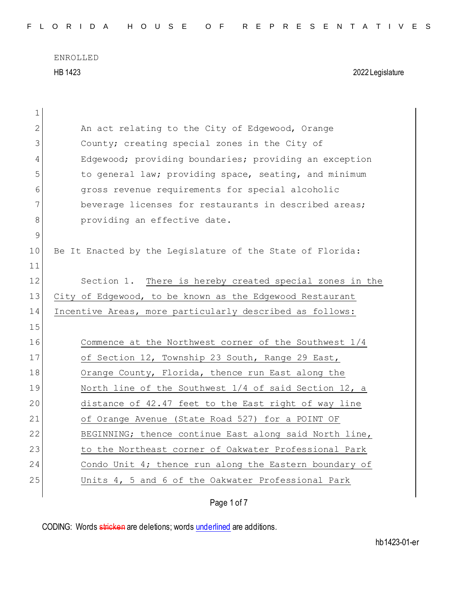| $\mathbf 1$    |                                                           |
|----------------|-----------------------------------------------------------|
| $\overline{2}$ | An act relating to the City of Edgewood, Orange           |
| 3              | County; creating special zones in the City of             |
| 4              | Edgewood; providing boundaries; providing an exception    |
| 5              | to general law; providing space, seating, and minimum     |
| 6              | gross revenue requirements for special alcoholic          |
| 7              | beverage licenses for restaurants in described areas;     |
| 8              | providing an effective date.                              |
| 9              |                                                           |
| 10             | Be It Enacted by the Leqislature of the State of Florida: |
| 11             |                                                           |
| 12             | Section 1. There is hereby created special zones in the   |
| 13             | City of Edgewood, to be known as the Edgewood Restaurant  |
| 14             | Incentive Areas, more particularly described as follows:  |
|                |                                                           |
| 15             |                                                           |
| 16             | Commence at the Northwest corner of the Southwest 1/4     |
| 17             | of Section 12, Township 23 South, Range 29 East,          |
| 18             | Orange County, Florida, thence run East along the         |
| 19             | North line of the Southwest 1/4 of said Section 12, a     |
| 20             | distance of 42.47 feet to the East right of way line      |
| 21             | of Orange Avenue (State Road 527) for a POINT OF          |
| 22             | BEGINNING; thence continue East along said North line,    |
| 23             | to the Northeast corner of Oakwater Professional Park     |
| 24             | Condo Unit $4$ ; thence run along the Eastern boundary of |
| 25             | Units 4, 5 and 6 of the Oakwater Professional Park        |

Page 1 of 7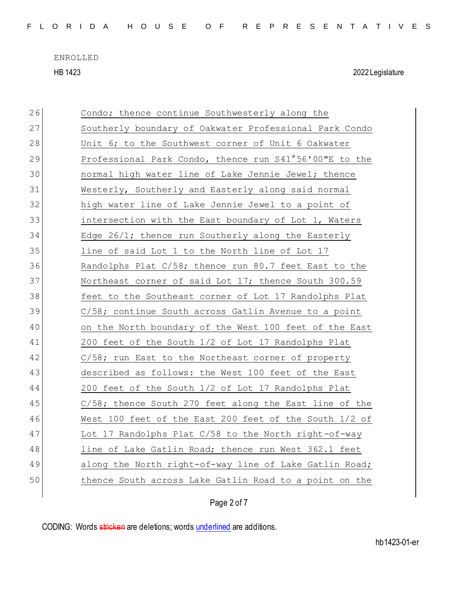| FLORIDA HOUSE OF REPRESENTATIVES |  |  |  |  |  |  |  |  |  |  |  |  |  |  |  |  |  |  |  |  |  |  |  |  |  |  |
|----------------------------------|--|--|--|--|--|--|--|--|--|--|--|--|--|--|--|--|--|--|--|--|--|--|--|--|--|--|
|----------------------------------|--|--|--|--|--|--|--|--|--|--|--|--|--|--|--|--|--|--|--|--|--|--|--|--|--|--|

| 26 | Condo; thence continue Southwesterly along the         |
|----|--------------------------------------------------------|
| 27 | Southerly boundary of Oakwater Professional Park Condo |
| 28 | Unit 6; to the Southwest corner of Unit 6 Oakwater     |
| 29 | Professional Park Condo, thence run S41°56'00"E to the |
| 30 | normal high water line of Lake Jennie Jewel; thence    |
| 31 | Westerly, Southerly and Easterly along said normal     |
| 32 | high water line of Lake Jennie Jewel to a point of     |
| 33 | intersection with the East boundary of Lot 1, Waters   |
| 34 | Edge 26/1; thence run Southerly along the Easterly     |
| 35 | line of said Lot 1 to the North line of Lot 17         |
| 36 | Randolphs Plat C/58; thence run 80.7 feet East to the  |
| 37 | Northeast corner of said Lot 17; thence South 300.59   |
| 38 | feet to the Southeast corner of Lot 17 Randolphs Plat  |
| 39 | C/58; continue South across Gatlin Avenue to a point   |
| 40 | on the North boundary of the West 100 feet of the East |
| 41 | 200 feet of the South 1/2 of Lot 17 Randolphs Plat     |
| 42 | C/58; run East to the Northeast corner of property     |
| 43 | described as follows: the West 100 feet of the East    |
| 44 | 200 feet of the South 1/2 of Lot 17 Randolphs Plat     |
| 45 | C/58; thence South 270 feet along the East line of the |
| 46 | West 100 feet of the East 200 feet of the South 1/2 of |
| 47 | Lot 17 Randolphs Plat C/58 to the North right-of-way   |
| 48 | line of Lake Gatlin Road; thence run West 362.1 feet   |
| 49 | along the North right-of-way line of Lake Gatlin Road; |
| 50 | thence South across Lake Gatlin Road to a point on the |
|    |                                                        |

Page 2 of 7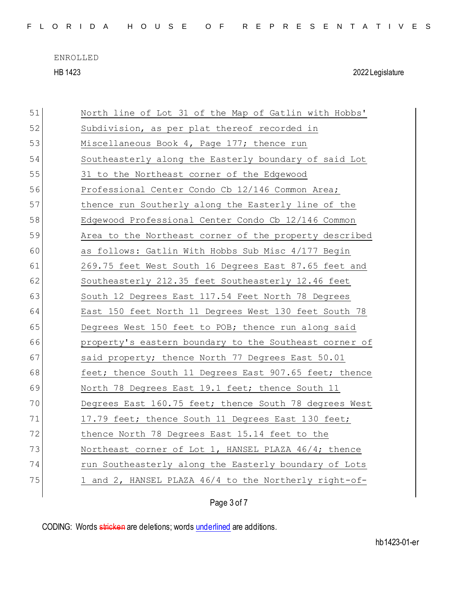|  |  |  |  |  |  |  |  |  |  | FLORIDA HOUSE OF REPRESENTATIVES |  |  |  |  |  |  |  |  |  |  |  |  |  |  |  |  |
|--|--|--|--|--|--|--|--|--|--|----------------------------------|--|--|--|--|--|--|--|--|--|--|--|--|--|--|--|--|
|--|--|--|--|--|--|--|--|--|--|----------------------------------|--|--|--|--|--|--|--|--|--|--|--|--|--|--|--|--|

| 51 | North line of Lot 31 of the Map of Gatlin with Hobbs'  |
|----|--------------------------------------------------------|
| 52 | Subdivision, as per plat thereof recorded in           |
| 53 | Miscellaneous Book 4, Page 177; thence run             |
| 54 | Southeasterly along the Easterly boundary of said Lot  |
| 55 | 31 to the Northeast corner of the Edgewood             |
| 56 | Professional Center Condo Cb 12/146 Common Area;       |
| 57 | thence run Southerly along the Easterly line of the    |
| 58 | Edgewood Professional Center Condo Cb 12/146 Common    |
| 59 | Area to the Northeast corner of the property described |
| 60 | as follows: Gatlin With Hobbs Sub Misc 4/177 Begin     |
| 61 | 269.75 feet West South 16 Degrees East 87.65 feet and  |
| 62 | Southeasterly 212.35 feet Southeasterly 12.46 feet     |
| 63 | South 12 Degrees East 117.54 Feet North 78 Degrees     |
| 64 | East 150 feet North 11 Degrees West 130 feet South 78  |
| 65 | Degrees West 150 feet to POB; thence run along said    |
| 66 | property's eastern boundary to the Southeast corner of |
| 67 | said property; thence North 77 Degrees East 50.01      |
| 68 | feet; thence South 11 Degrees East 907.65 feet; thence |
| 69 | North 78 Degrees East 19.1 feet; thence South 11       |
| 70 | Degrees East 160.75 feet; thence South 78 degrees West |
| 71 | 17.79 feet; thence South 11 Degrees East 130 feet;     |
| 72 | thence North 78 Degrees East 15.14 feet to the         |
| 73 | Northeast corner of Lot 1, HANSEL PLAZA 46/4; thence   |
| 74 | run Southeasterly along the Easterly boundary of Lots  |
| 75 | 1 and 2, HANSEL PLAZA 46/4 to the Northerly right-of-  |
|    |                                                        |

Page 3 of 7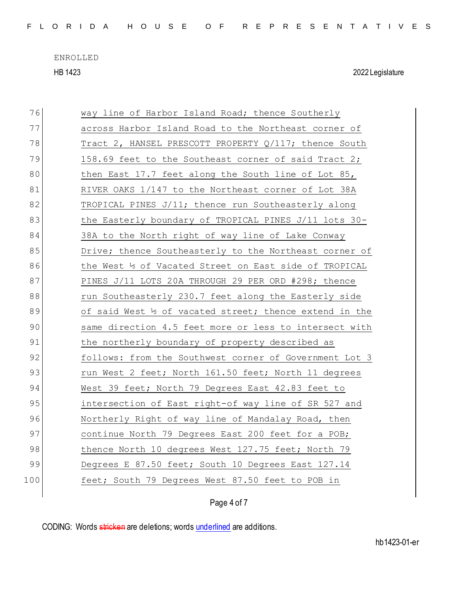F L O R I D A H O U S E O F R E P R E S E N T A T I V E S

ENROLLED HB 1423 2022 Legislature

| 76  | way line of Harbor Island Road; thence Southerly                   |
|-----|--------------------------------------------------------------------|
| 77  | across Harbor Island Road to the Northeast corner of               |
| 78  | Tract 2, HANSEL PRESCOTT PROPERTY Q/117; thence South              |
| 79  | 158.69 feet to the Southeast corner of said Tract 2;               |
| 80  | then East 17.7 feet along the South line of Lot 85,                |
| 81  | RIVER OAKS 1/147 to the Northeast corner of Lot 38A                |
| 82  | TROPICAL PINES $J/11$ ; thence run Southeasterly along             |
| 83  | the Easterly boundary of TROPICAL PINES J/11 lots 30-              |
| 84  | 38A to the North right of way line of Lake Conway                  |
| 85  | Drive; thence Southeasterly to the Northeast corner of             |
| 86  | the West 1/2 of Vacated Street on East side of TROPICAL            |
| 87  | PINES J/11 LOTS 20A THROUGH 29 PER ORD #298; thence                |
| 88  | run Southeasterly 230.7 feet along the Easterly side               |
|     |                                                                    |
| 89  | of said West $\frac{1}{2}$ of vacated street; thence extend in the |
| 90  | same direction 4.5 feet more or less to intersect with             |
| 91  | the northerly boundary of property described as                    |
| 92  | follows: from the Southwest corner of Government Lot 3             |
| 93  | run West 2 feet; North 161.50 feet; North 11 degrees               |
| 94  | West 39 feet; North 79 Degrees East 42.83 feet to                  |
| 95  | intersection of East right-of way line of SR 527 and               |
| 96  | Northerly Right of way line of Mandalay Road, then                 |
| 97  | continue North 79 Degrees East 200 feet for a POB;                 |
| 98  | thence North 10 degrees West 127.75 feet; North 79                 |
| 99  | Degrees E 87.50 feet; South 10 Degrees East 127.14                 |
| 100 | feet; South 79 Degrees West 87.50 feet to POB in                   |

Page 4 of 7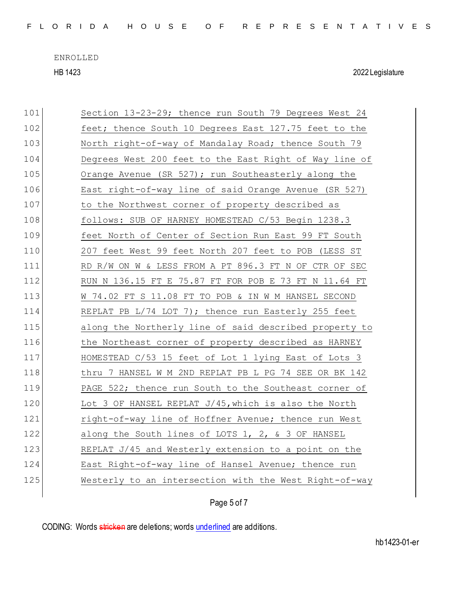F L O R I D A H O U S E O F R E P R E S E N T A T I V E S

ENROLLED HB 1423 2022 Legislature

| 101 | Section 13-23-29; thence run South 79 Degrees West 24  |
|-----|--------------------------------------------------------|
| 102 | feet; thence South 10 Degrees East 127.75 feet to the  |
| 103 | North right-of-way of Mandalay Road; thence South 79   |
| 104 | Degrees West 200 feet to the East Right of Way line of |
| 105 | Orange Avenue (SR 527); run Southeasterly along the    |
| 106 | East right-of-way line of said Orange Avenue (SR 527)  |
| 107 | to the Northwest corner of property described as       |
| 108 | follows: SUB OF HARNEY HOMESTEAD C/53 Begin 1238.3     |
| 109 | feet North of Center of Section Run East 99 FT South   |
| 110 | 207 feet West 99 feet North 207 feet to POB (LESS ST   |
| 111 | RD R/W ON W & LESS FROM A PT 896.3 FT N OF CTR OF SEC  |
| 112 | RUN N 136.15 FT E 75.87 FT FOR POB E 73 FT N 11.64 FT  |
| 113 | W 74.02 FT S 11.08 FT TO POB & IN W M HANSEL SECOND    |
| 114 | REPLAT PB L/74 LOT 7); thence run Easterly 255 feet    |
| 115 | along the Northerly line of said described property to |
| 116 | the Northeast corner of property described as HARNEY   |
| 117 | HOMESTEAD C/53 15 feet of Lot 1 lying East of Lots 3   |
| 118 | thru 7 HANSEL W M 2ND REPLAT PB L PG 74 SEE OR BK 142  |
| 119 | PAGE 522; thence run South to the Southeast corner of  |
| 120 | Lot 3 OF HANSEL REPLAT J/45, which is also the North   |
| 121 | right-of-way line of Hoffner Avenue; thence run West   |
| 122 | along the South lines of LOTS 1, 2, & 3 OF HANSEL      |
| 123 | REPLAT J/45 and Westerly extension to a point on the   |
| 124 | East Right-of-way line of Hansel Avenue; thence run    |
| 125 | Westerly to an intersection with the West Right-of-way |
|     |                                                        |

Page 5 of 7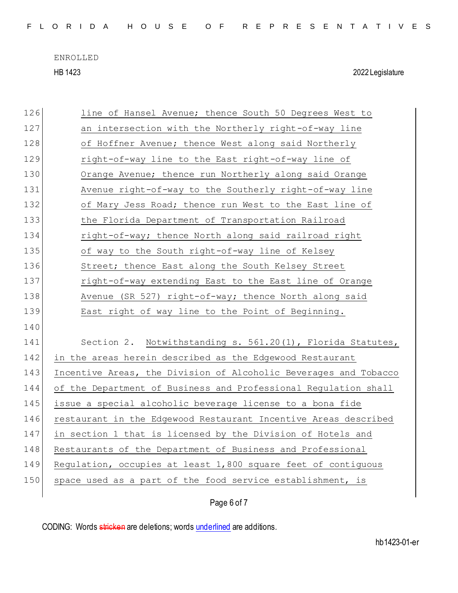F L O R I D A H O U S E O F R E P R E S E N T A T I V E S

ENROLLED HB 1423 2022 Legislature

| 126 | line of Hansel Avenue; thence South 50 Degrees West to           |
|-----|------------------------------------------------------------------|
| 127 | an intersection with the Northerly right-of-way line             |
| 128 | of Hoffner Avenue; thence West along said Northerly              |
| 129 | right-of-way line to the East right-of-way line of               |
| 130 | Orange Avenue; thence run Northerly along said Orange            |
| 131 | Avenue right-of-way to the Southerly right-of-way line           |
| 132 | of Mary Jess Road; thence run West to the East line of           |
| 133 | the Florida Department of Transportation Railroad                |
| 134 | right-of-way; thence North along said railroad right             |
| 135 | of way to the South right-of-way line of Kelsey                  |
| 136 | Street; thence East along the South Kelsey Street                |
| 137 | right-of-way extending East to the East line of Orange           |
| 138 | Avenue (SR 527) right-of-way; thence North along said            |
| 139 | East right of way line to the Point of Beginning.                |
| 140 |                                                                  |
| 141 | Section 2. Notwithstanding s. 561.20(1), Florida Statutes,       |
| 142 | in the areas herein described as the Edgewood Restaurant         |
| 143 | Incentive Areas, the Division of Alcoholic Beverages and Tobacco |
| 144 | of the Department of Business and Professional Regulation shall  |
| 145 | issue a special alcoholic beverage license to a bona fide        |
| 146 | restaurant in the Edgewood Restaurant Incentive Areas described  |
| 147 | in section 1 that is licensed by the Division of Hotels and      |
| 148 | Restaurants of the Department of Business and Professional       |
| 149 | Regulation, occupies at least 1,800 square feet of contiguous    |
| 150 | space used as a part of the food service establishment, is       |
|     | Page 6 of 7                                                      |